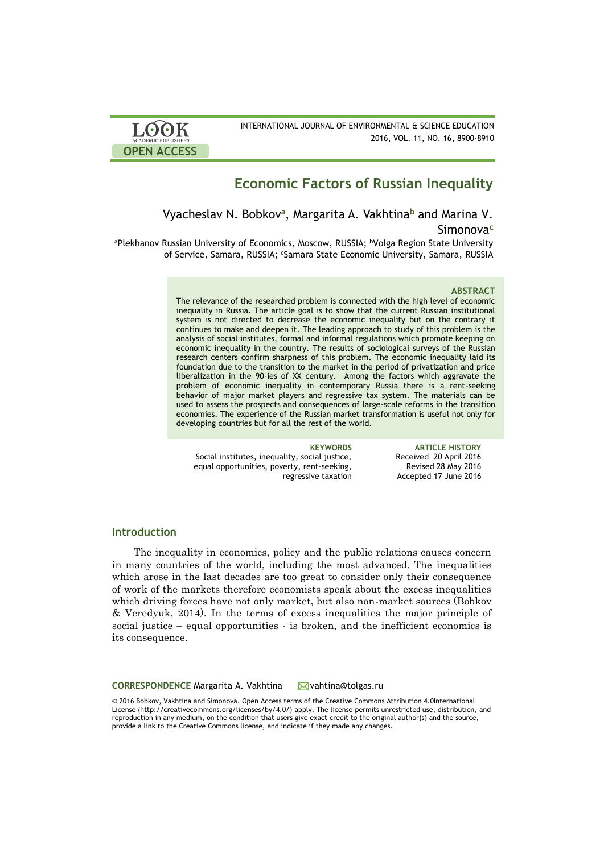

# **Economic Factors of Russian Inequality**

Vyacheslav N. Bobkov**<sup>a</sup>** , Margarita A. Vakhtina**<sup>b</sup>** and Marina V. Simonova**<sup>c</sup>**

aPlekhanov Russian University of Economics, Moscow, RUSSIA; bVolga Region State University of Service, Samara, RUSSIA; <sup>c</sup>Samara State Economic University, Samara, RUSSIA

### **ABSTRACT**

The relevance of the researched problem is connected with the high level of economic inequality in Russia. The article goal is to show that the current Russian institutional system is not directed to decrease the economic inequality but on the contrary it continues to make and deepen it. The leading approach to study of this problem is the analysis of social institutes, formal and informal regulations which promote keeping on economic inequality in the country. The results of sociological surveys of the Russian research centers confirm sharpness of this problem. The economic inequality laid its foundation due to the transition to the market in the period of privatization and price liberalization in the 90-ies of XX century. Among the factors which aggravate the problem of economic inequality in contemporary Russia there is a rent-seeking behavior of major market players and regressive tax system. The materials can be used to assess the prospects and consequences of large-scale reforms in the transition economies. The experience of the Russian market transformation is useful not only for developing countries but for all the rest of the world.

Social institutes, inequality, social justice, equal opportunities, poverty, rent-seeking, regressive taxation

**KEYWORDS ARTICLE HISTORY** Received 20 April 2016 Revised 28 May 2016 Accepted 17 June 2016

## **Introduction**

The inequality in economics, policy and the public relations causes concern in many countries of the world, including the most advanced. The inequalities which arose in the last decades are too great to consider only their consequence of work of the markets therefore economists speak about the excess inequalities which driving forces have not only market, but also non-market sources (Bobkov & Veredyuk, 2014). In the terms of excess inequalities the major principle of social justice – equal opportunities - is broken, and the inefficient economics is its consequence.

**CORRESPONDENCE** Margarita A. Vakhtina vahtina@tolgas.ru

© 2016 Bobkov, Vakhtina and Simonova. Open Access terms of the Creative Commons Attribution 4.0International License (http://creativecommons.org/licenses/by/4.0/) apply. The license permits unrestricted use, distribution, and reproduction in any medium, on the condition that users give exact credit to the original author(s) and the source, provide a link to the Creative Commons license, and indicate if they made any changes.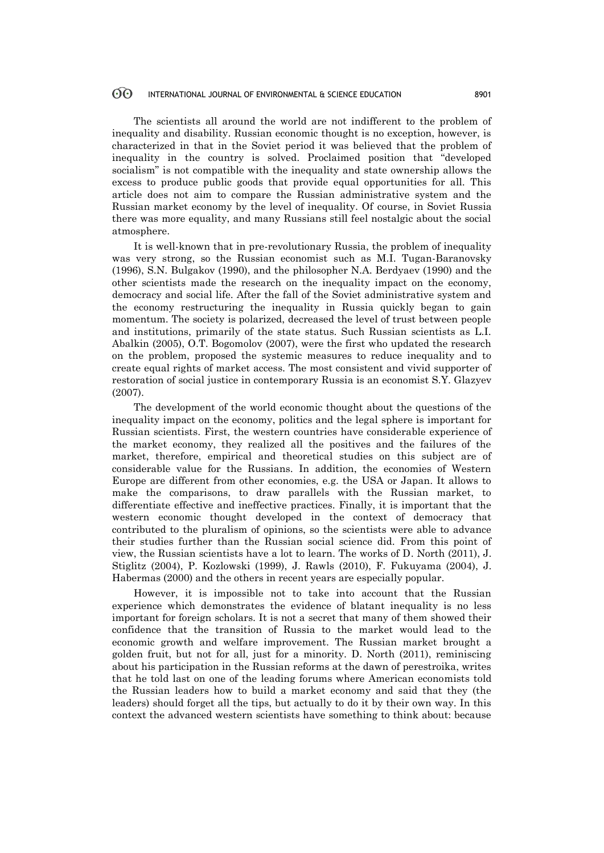The scientists all around the world are not indifferent to the problem of inequality and disability. Russian economic thought is no exception, however, is characterized in that in the Soviet period it was believed that the problem of inequality in the country is solved. Proclaimed position that "developed socialism" is not compatible with the inequality and state ownership allows the excess to produce public goods that provide equal opportunities for all. This article does not aim to compare the Russian administrative system and the Russian market economy by the level of inequality. Of course, in Soviet Russia there was more equality, and many Russians still feel nostalgic about the social atmosphere.

It is well-known that in pre-revolutionary Russia, the problem of inequality was very strong, so the Russian economist such as M.I. Tugan-Baranovsky (1996), S.N. Bulgakov (1990), and the philosopher N.A. Berdyaev (1990) and the other scientists made the research on the inequality impact on the economy, democracy and social life. After the fall of the Soviet administrative system and the economy restructuring the inequality in Russia quickly began to gain momentum. The society is polarized, decreased the level of trust between people and institutions, primarily of the state status. Such Russian scientists as L.I. Abalkin (2005), O.T. Bogomolov (2007), were the first who updated the research on the problem, proposed the systemic measures to reduce inequality and to create equal rights of market access. The most consistent and vivid supporter of restoration of social justice in contemporary Russia is an economist S.Y. Glazyev (2007).

The development of the world economic thought about the questions of the inequality impact on the economy, politics and the legal sphere is important for Russian scientists. First, the western countries have considerable experience of the market economy, they realized all the positives and the failures of the market, therefore, empirical and theoretical studies on this subject are of considerable value for the Russians. In addition, the economies of Western Europe are different from other economies, e.g. the USA or Japan. It allows to make the comparisons, to draw parallels with the Russian market, to differentiate effective and ineffective practices. Finally, it is important that the western economic thought developed in the context of democracy that contributed to the pluralism of opinions, so the scientists were able to advance their studies further than the Russian social science did. From this point of view, the Russian scientists have a lot to learn. The works of D. North (2011), J. Stiglitz (2004), P. Kozlowski (1999), J. Rawls (2010), F. Fukuyama (2004), J. Habermas (2000) and the others in recent years are especially popular.

However, it is impossible not to take into account that the Russian experience which demonstrates the evidence of blatant inequality is no less important for foreign scholars. It is not a secret that many of them showed their confidence that the transition of Russia to the market would lead to the economic growth and welfare improvement. The Russian market brought a golden fruit, but not for all, just for a minority. D. North (2011), reminiscing about his participation in the Russian reforms at the dawn of perestroika, writes that he told last on one of the leading forums where American economists told the Russian leaders how to build a market economy and said that they (the leaders) should forget all the tips, but actually to do it by their own way. In this context the advanced western scientists have something to think about: because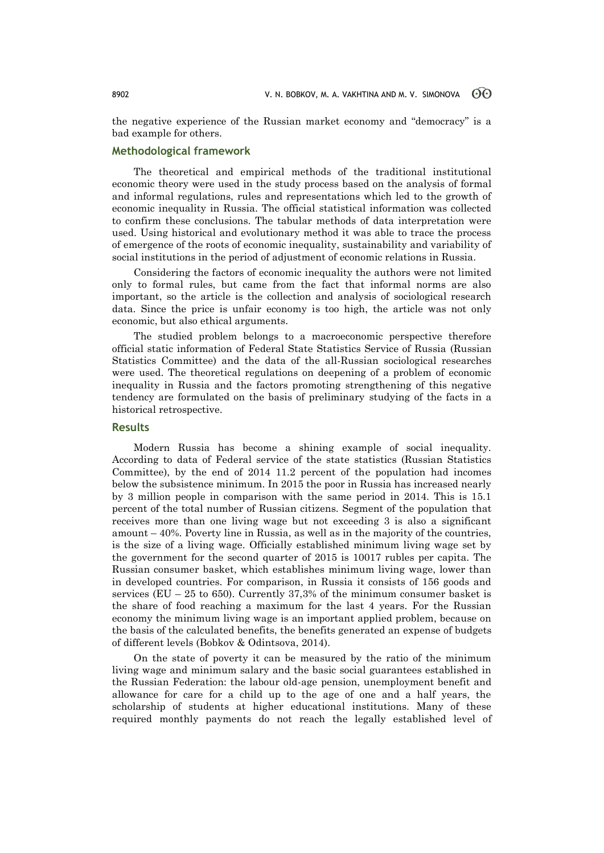the negative experience of the Russian market economy and "democracy" is a bad example for others.

# **Methodological framework**

The theoretical and empirical methods of the traditional institutional economic theory were used in the study process based on the analysis of formal and informal regulations, rules and representations which led to the growth of economic inequality in Russia. The official statistical information was collected to confirm these conclusions. The tabular methods of data interpretation were used. Using historical and evolutionary method it was able to trace the process of emergence of the roots of economic inequality, sustainability and variability of social institutions in the period of adjustment of economic relations in Russia.

Considering the factors of economic inequality the authors were not limited only to formal rules, but came from the fact that informal norms are also important, so the article is the collection and analysis of sociological research data. Since the price is unfair economy is too high, the article was not only economic, but also ethical arguments.

The studied problem belongs to a macroeconomic perspective therefore official static information of Federal State Statistics Service of Russia (Russian Statistics Committee) and the data of the all-Russian sociological researches were used. The theoretical regulations on deepening of a problem of economic inequality in Russia and the factors promoting strengthening of this negative tendency are formulated on the basis of preliminary studying of the facts in a historical retrospective.

# **Results**

Modern Russia has become a shining example of social inequality. According to data of Federal service of the state statistics (Russian Statistics Committee), by the end of 2014 11.2 percent of the population had incomes below the subsistence minimum. In 2015 the poor in Russia has increased nearly by 3 million people in comparison with the same period in 2014. This is 15.1 percent of the total number of Russian citizens. Segment of the population that receives more than one living wage but not exceeding 3 is also a significant amount – 40%. Poverty line in Russia, as well as in the majority of the countries, is the size of a living wage. Officially established minimum living wage set by the government for the second quarter of 2015 is 10017 rubles per capita. The Russian consumer basket, which establishes minimum living wage, lower than in developed countries. For comparison, in Russia it consists of 156 goods and services (EU – 25 to 650). Currently 37,3% of the minimum consumer basket is the share of food reaching a maximum for the last 4 years. For the Russian economy the minimum living wage is an important applied problem, because on the basis of the calculated benefits, the benefits generated an expense of budgets of different levels (Bobkov & Odintsova, 2014).

On the state of poverty it can be measured by the ratio of the minimum living wage and minimum salary and the basic social guarantees established in the Russian Federation: the labour old-age pension, unemployment benefit and allowance for care for a child up to the age of one and a half years, the scholarship of students at higher educational institutions. Many of these required monthly payments do not reach the legally established level of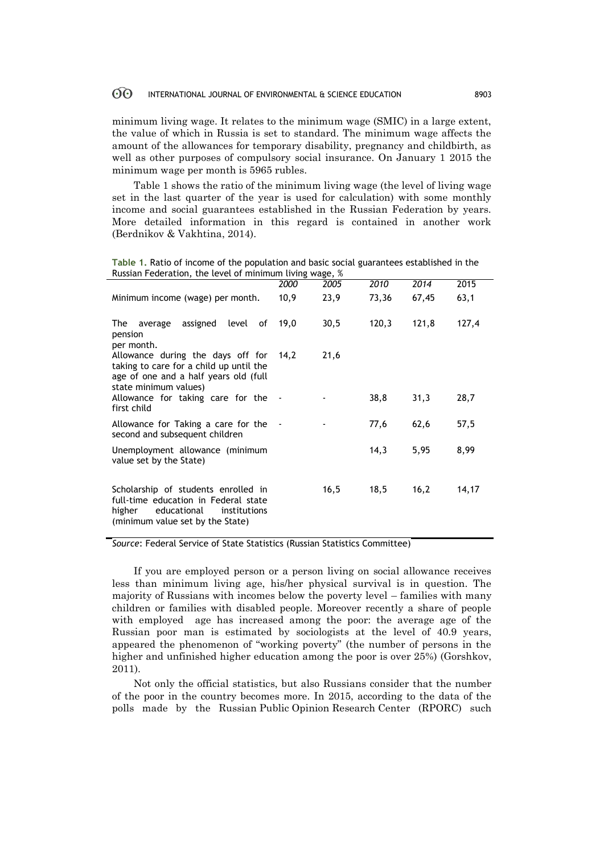minimum living wage. It relates to the minimum wage (SMIC) in a large extent, the value of which in Russia is set to standard. The minimum wage affects the amount of the allowances for temporary disability, pregnancy and childbirth, as well as other purposes of compulsory social insurance. On January 1 2015 the minimum wage per month is 5965 rubles.

Table 1 shows the ratio of the minimum living wage (the level of living wage set in the last quarter of the year is used for calculation) with some monthly income and social guarantees established in the Russian Federation by years. More detailed information in this regard is contained in another work (Berdnikov & Vakhtina, 2014).

**Table 1.** Ratio of income of the population and basic social guarantees established in the Russian Federation, the level of minimum living wage, %

| $1.45 - 1.7$                                                                                                                                             |      |      |       |       |       |
|----------------------------------------------------------------------------------------------------------------------------------------------------------|------|------|-------|-------|-------|
|                                                                                                                                                          | 2000 | 2005 | 2010  | 2014  | 2015  |
| Minimum income (wage) per month.                                                                                                                         | 10,9 | 23,9 | 73,36 | 67,45 | 63,1  |
| assigned level of<br>The average<br>pension<br>per month.                                                                                                | 19,0 | 30,5 | 120,3 | 121,8 | 127,4 |
| Allowance during the days off for<br>taking to care for a child up until the<br>age of one and a half years old (full<br>state minimum values)           | 14,2 | 21,6 |       |       |       |
| Allowance for taking care for the -<br>first child                                                                                                       |      |      | 38,8  | 31,3  | 28,7  |
| Allowance for Taking a care for the -<br>second and subsequent children                                                                                  |      |      | 77,6  | 62,6  | 57,5  |
| Unemployment allowance (minimum<br>value set by the State)                                                                                               |      |      | 14,3  | 5,95  | 8,99  |
| Scholarship of students enrolled in<br>full-time education in Federal state<br>educational<br>higher<br>institutions<br>(minimum value set by the State) |      | 16,5 | 18,5  | 16,2  | 14,17 |

*Source*: Federal Service of State Statistics (Russian Statistics Committee)

If you are employed person or a person living on social allowance receives less than minimum living age, his/her physical survival is in question. The majority of Russians with incomes below the poverty level – families with many children or families with disabled people. Moreover recently a share of people with employed age has increased among the poor: the average age of the Russian poor man is estimated by sociologists at the level of 40.9 years, appeared the phenomenon of "working poverty" (the number of persons in the higher and unfinished higher education among the poor is over 25%) (Gorshkov, 2011).

Not only the official statistics, but also Russians consider that the number of the poor in the country becomes more. In 2015, according to the data of the polls made by the Russian Public Opinion Research Center (RPORC) such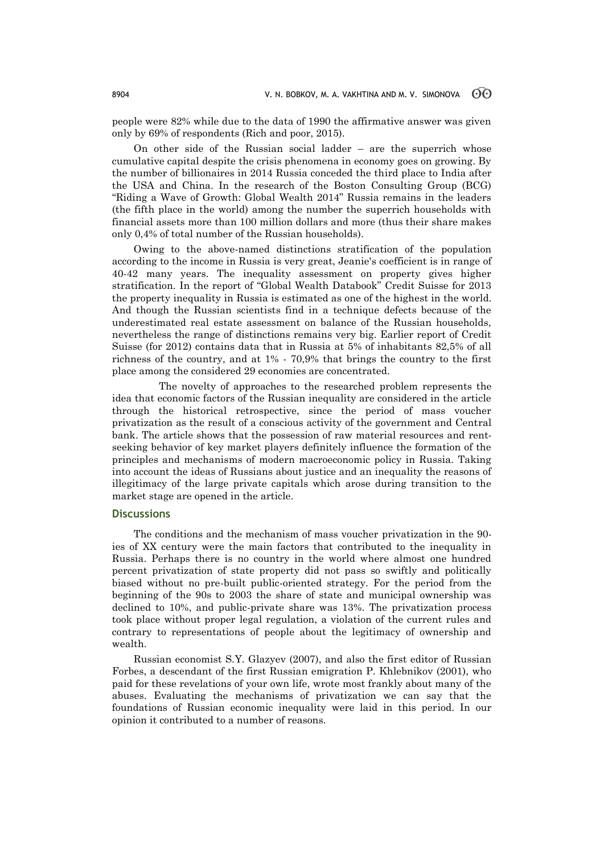people were 82% while due to the data of 1990 the affirmative answer was given only by 69% of respondents (Rich and poor, 2015).

On other side of the Russian social ladder – are the superrich whose cumulative capital despite the crisis phenomena in economy goes on growing. By the number of billionaires in 2014 Russia conceded the third place to India after the USA and China. In the research of the Boston Consulting Group (BCG) "Riding a Wave of Growth: Global Wealth 2014" Russia remains in the leaders (the fifth place in the world) among the number the superrich households with financial assets more than 100 million dollars and more (thus their share makes only 0,4% of total number of the Russian households).

Owing to the above-named distinctions stratification of the population according to the income in Russia is very great, Jeanie's coefficient is in range of 40-42 many years. The inequality assessment on property gives higher stratification. In the report of "Global Wealth Databook" Credit Suisse for 2013 the property inequality in Russia is estimated as one of the highest in the world. And though the Russian scientists find in a technique defects because of the underestimated real estate assessment on balance of the Russian households, nevertheless the range of distinctions remains very big. Earlier report of Credit Suisse (for 2012) contains data that in Russia at 5% of inhabitants 82,5% of all richness of the country, and at 1% - 70,9% that brings the country to the first place among the considered 29 economies are concentrated.

 The novelty of approaches to the researched problem represents the idea that economic factors of the Russian inequality are considered in the article through the historical retrospective, since the period of mass voucher privatization as the result of a conscious activity of the government and Central bank. The article shows that the possession of raw material resources and rentseeking behavior of key market players definitely influence the formation of the principles and mechanisms of modern macroeconomic policy in Russia. Taking into account the ideas of Russians about justice and an inequality the reasons of illegitimacy of the large private capitals which arose during transition to the market stage are opened in the article.

## **Discussions**

The conditions and the mechanism of mass voucher privatization in the 90 ies of XX century were the main factors that contributed to the inequality in Russia. Perhaps there is no country in the world where almost one hundred percent privatization of state property did not pass so swiftly and politically biased without no pre-built public-oriented strategy. For the period from the beginning of the 90s to 2003 the share of state and municipal ownership was declined to 10%, and public-private share was 13%. The privatization process took place without proper legal regulation, a violation of the current rules and contrary to representations of people about the legitimacy of ownership and wealth.

Russian economist S.Y. Glazyev (2007), and also the first editor of Russian Forbes, a descendant of the first Russian emigration P. Khlebnikov (2001), who paid for these revelations of your own life, wrote most frankly about many of the abuses. Evaluating the mechanisms of privatization we can say that the foundations of Russian economic inequality were laid in this period. In our opinion it contributed to a number of reasons.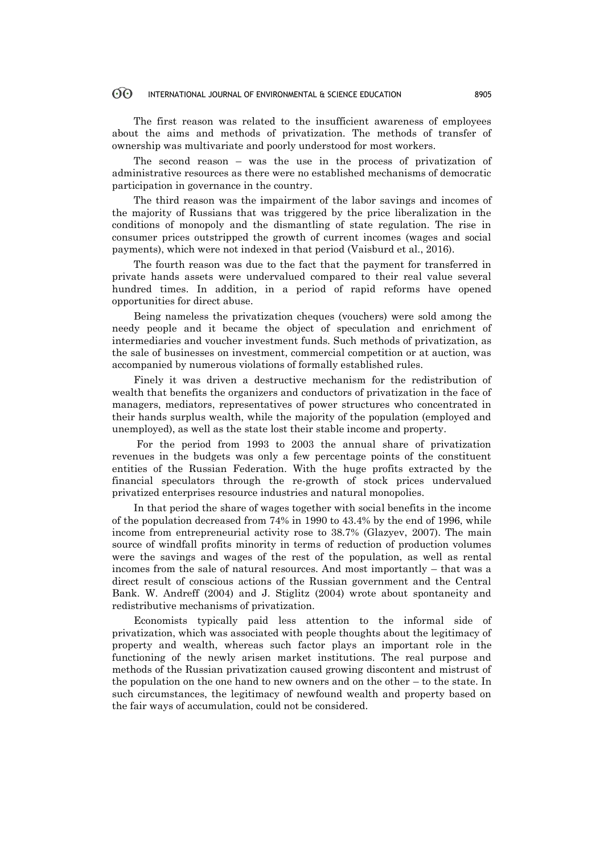The first reason was related to the insufficient awareness of employees about the aims and methods of privatization. The methods of transfer of ownership was multivariate and poorly understood for most workers.

The second reason – was the use in the process of privatization of administrative resources as there were no established mechanisms of democratic participation in governance in the country.

The third reason was the impairment of the labor savings and incomes of the majority of Russians that was triggered by the price liberalization in the conditions of monopoly and the dismantling of state regulation. The rise in consumer prices outstripped the growth of current incomes (wages and social payments), which were not indexed in that period (Vaisburd et al., 2016).

The fourth reason was due to the fact that the payment for transferred in private hands assets were undervalued compared to their real value several hundred times. In addition, in a period of rapid reforms have opened opportunities for direct abuse.

Being nameless the privatization cheques (vouchers) were sold among the needy people and it became the object of speculation and enrichment of intermediaries and voucher investment funds. Such methods of privatization, as the sale of businesses on investment, commercial competition or at auction, was accompanied by numerous violations of formally established rules.

Finely it was driven a destructive mechanism for the redistribution of wealth that benefits the organizers and conductors of privatization in the face of managers, mediators, representatives of power structures who concentrated in their hands surplus wealth, while the majority of the population (employed and unemployed), as well as the state lost their stable income and property.

For the period from 1993 to 2003 the annual share of privatization revenues in the budgets was only a few percentage points of the constituent entities of the Russian Federation. With the huge profits extracted by the financial speculators through the re-growth of stock prices undervalued privatized enterprises resource industries and natural monopolies.

In that period the share of wages together with social benefits in the income of the population decreased from 74% in 1990 to 43.4% by the end of 1996, while income from entrepreneurial activity rose to 38.7% (Glazyev, 2007). The main source of windfall profits minority in terms of reduction of production volumes were the savings and wages of the rest of the population, as well as rental incomes from the sale of natural resources. And most importantly – that was a direct result of conscious actions of the Russian government and the Central Bank. W. Andreff (2004) and J. Stiglitz (2004) wrote about spontaneity and redistributive mechanisms of privatization.

Economists typically paid less attention to the informal side of privatization, which was associated with people thoughts about the legitimacy of property and wealth, whereas such factor plays an important role in the functioning of the newly arisen market institutions. The real purpose and methods of the Russian privatization caused growing discontent and mistrust of the population on the one hand to new owners and on the other – to the state. In such circumstances, the legitimacy of newfound wealth and property based on the fair ways of accumulation, could not be considered.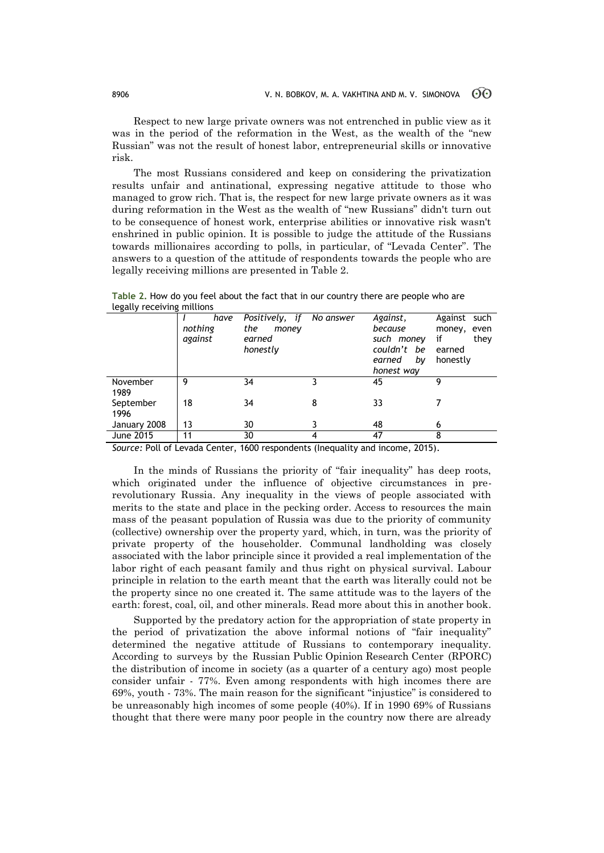Respect to new large private owners was not entrenched in public view as it was in the period of the reformation in the West, as the wealth of the "new Russian" was not the result of honest labor, entrepreneurial skills or innovative risk.

The most Russians considered and keep on considering the privatization results unfair and antinational, expressing negative attitude to those who managed to grow rich. That is, the respect for new large private owners as it was during reformation in the West as the wealth of "new Russians" didn't turn out to be consequence of honest work, enterprise abilities or innovative risk wasn't enshrined in public opinion. It is possible to judge the attitude of the Russians towards millionaires according to polls, in particular, of "Levada Center". The answers to a question of the attitude of respondents towards the people who are legally receiving millions are presented in Table 2.

*I have nothing against Positively, if the money earned honestly No answer Against, because such money couldn't be earned by honest way* Against such money, even if they earned honestly November 1989 9 34 3 45 9 September 1996 18 34 8 33 7 January 2008 | 13 30 3 48 6 June 2015 11 30 4 47 8

**Table 2.** How do you feel about the fact that in our country there are people who are legally receiving millions

*Source:* Poll of Levada Center, 1600 respondents (Inequality and income, 2015).

In the minds of Russians the priority of "fair inequality" has deep roots, which originated under the influence of objective circumstances in prerevolutionary Russia. Any inequality in the views of people associated with merits to the state and place in the pecking order. Access to resources the main mass of the peasant population of Russia was due to the priority of community (collective) ownership over the property yard, which, in turn, was the priority of private property of the householder. Communal landholding was closely associated with the labor principle since it provided a real implementation of the labor right of each peasant family and thus right on physical survival. Labour principle in relation to the earth meant that the earth was literally could not be the property since no one created it. The same attitude was to the layers of the earth: forest, coal, oil, and other minerals. Read more about this in another book.

Supported by the predatory action for the appropriation of state property in the period of privatization the above informal notions of "fair inequality" determined the negative attitude of Russians to contemporary inequality. According to surveys by the Russian Public Opinion Research Center (RPORC) the distribution of income in society (as a quarter of a century ago) most people consider unfair - 77%. Even among respondents with high incomes there are 69%, youth - 73%. The main reason for the significant "injustice" is considered to be unreasonably high incomes of some people (40%). If in 1990 69% of Russians thought that there were many poor people in the country now there are already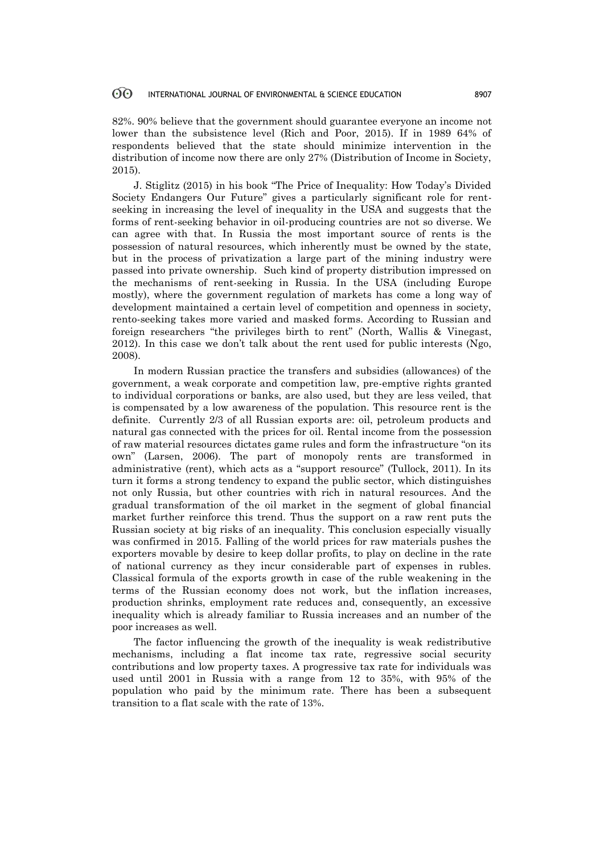82%. 90% believe that the government should guarantee everyone an income not lower than the subsistence level (Rich and Poor, 2015). If in 1989 64% of respondents believed that the state should minimize intervention in the distribution of income now there are only 27% (Distribution of Income in Society, 2015).

J. Stiglitz (2015) in his book "The Price of Inequality: How Today's Divided Society Endangers Our Future" gives a particularly significant role for rentseeking in increasing the level of inequality in the USA and suggests that the forms of rent-seeking behavior in oil-producing countries are not so diverse. We can agree with that. In Russia the most important source of rents is the possession of natural resources, which inherently must be owned by the state, but in the process of privatization a large part of the mining industry were passed into private ownership. Such kind of property distribution impressed on the mechanisms of rent-seeking in Russia. In the USA (including Europe mostly), where the government regulation of markets has come a long way of development maintained a certain level of competition and openness in society, rento-seeking takes more varied and masked forms. According to Russian and foreign researchers "the privileges birth to rent" (North, Wallis & Vinegast, 2012). In this case we don't talk about the rent used for public interests (Ngo, 2008).

In modern Russian practice the transfers and subsidies (allowances) of the government, a weak corporate and competition law, pre-emptive rights granted to individual corporations or banks, are also used, but they are less veiled, that is compensated by a low awareness of the population. This resource rent is the definite. Currently 2/3 of all Russian exports are: oil, petroleum products and natural gas connected with the prices for oil. Rental income from the possession of raw material resources dictates game rules and form the infrastructure "on its own" (Larsen, 2006). The part of monopoly rents are transformed in administrative (rent), which acts as a "support resource" (Tullock, 2011). In its turn it forms a strong tendency to expand the public sector, which distinguishes not only Russia, but other countries with rich in natural resources. And the gradual transformation of the oil market in the segment of global financial market further reinforce this trend. Thus the support on a raw rent puts the Russian society at big risks of an inequality. This conclusion especially visually was confirmed in 2015. Falling of the world prices for raw materials pushes the exporters movable by desire to keep dollar profits, to play on decline in the rate of national currency as they incur considerable part of expenses in rubles. Classical formula of the exports growth in case of the ruble weakening in the terms of the Russian economy does not work, but the inflation increases, production shrinks, employment rate reduces and, consequently, an excessive inequality which is already familiar to Russia increases and an number of the poor increases as well.

The factor influencing the growth of the inequality is weak redistributive mechanisms, including a flat income tax rate, regressive social security contributions and low property taxes. A progressive tax rate for individuals was used until 2001 in Russia with a range from 12 to 35%, with 95% of the population who paid by the minimum rate. There has been a subsequent transition to a flat scale with the rate of 13%.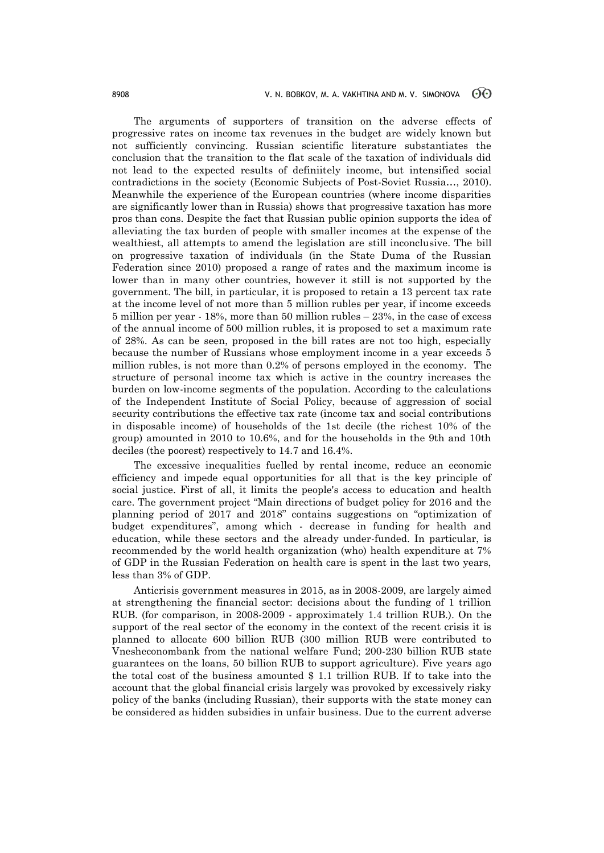The arguments of supporters of transition on the adverse effects of progressive rates on income tax revenues in the budget are widely known but not sufficiently convincing. Russian scientific literature substantiates the conclusion that the transition to the flat scale of the taxation of individuals did not lead to the expected results of definiitely income, but intensified social contradictions in the society (Economic Subjects of Post-Soviet Russiа…, 2010). Meanwhile the experience of the European countries (where income disparities are significantly lower than in Russia) shows that progressive taxation has more pros than cons. Despite the fact that Russian public opinion supports the idea of alleviating the tax burden of people with smaller incomes at the expense of the wealthiest, all attempts to amend the legislation are still inconclusive. The bill on progressive taxation of individuals (in the State Duma of the Russian Federation since 2010) proposed a range of rates and the maximum income is lower than in many other countries, however it still is not supported by the government. The bill, in particular, it is proposed to retain a 13 percent tax rate at the income level of not more than 5 million rubles per year, if income exceeds 5 million per year - 18%, more than 50 million rubles – 23%, in the case of excess of the annual income of 500 million rubles, it is proposed to set a maximum rate of 28%. As can be seen, proposed in the bill rates are not too high, especially because the number of Russians whose employment income in a year exceeds 5 million rubles, is not more than 0.2% of persons employed in the economy. The structure of personal income tax which is active in the country increases the burden on low-income segments of the population. According to the calculations of the Independent Institute of Social Policy, because of aggression of social security contributions the effective tax rate (income tax and social contributions in disposable income) of households of the 1st decile (the richest 10% of the group) amounted in 2010 to 10.6%, and for the households in the 9th and 10th deciles (the poorest) respectively to 14.7 and 16.4%.

The excessive inequalities fuelled by rental income, reduce an economic efficiency and impede equal opportunities for all that is the key principle of social justice. First of all, it limits the people's access to education and health care. The government project "Main directions of budget policy for 2016 and the planning period of 2017 and 2018" contains suggestions on "optimization of budget expenditures", among which - decrease in funding for health and education, while these sectors and the already under-funded. In particular, is recommended by the world health organization (who) health expenditure at 7% of GDP in the Russian Federation on health care is spent in the last two years, less than 3% of GDP.

Anticrisis government measures in 2015, as in 2008-2009, are largely aimed at strengthening the financial sector: decisions about the funding of 1 trillion RUB. (for comparison, in 2008-2009 - approximately 1.4 trillion RUB.). On the support of the real sector of the economy in the context of the recent crisis it is planned to allocate 600 billion RUB (300 million RUB were contributed to Vnesheconombank from the national welfare Fund; 200-230 billion RUB state guarantees on the loans, 50 billion RUB to support agriculture). Five years ago the total cost of the business amounted \$ 1.1 trillion RUB. If to take into the account that the global financial crisis largely was provoked by excessively risky policy of the banks (including Russian), their supports with the state money can be considered as hidden subsidies in unfair business. Due to the current adverse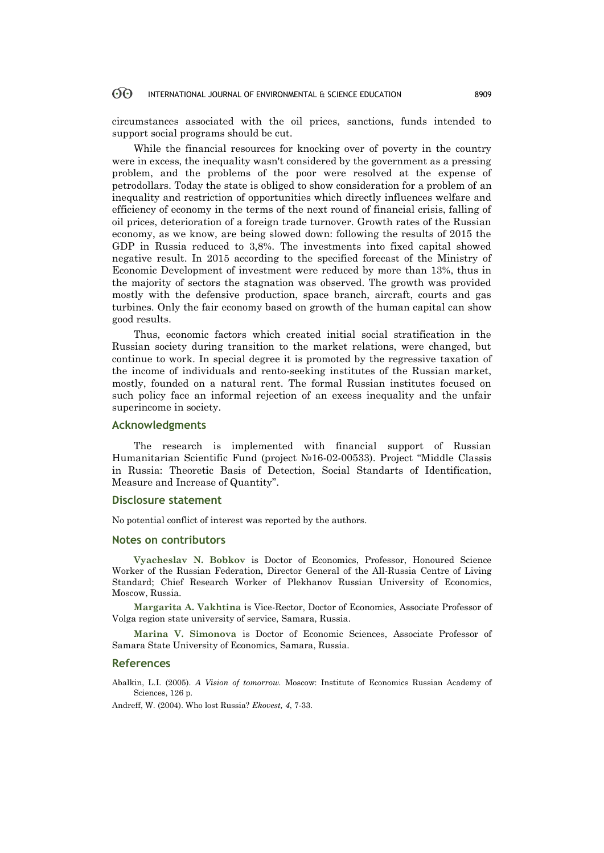circumstances associated with the oil prices, sanctions, funds intended to support social programs should be cut.

While the financial resources for knocking over of poverty in the country were in excess, the inequality wasn't considered by the government as a pressing problem, and the problems of the poor were resolved at the expense of petrodollars. Today the state is obliged to show consideration for a problem of an inequality and restriction of opportunities which directly influences welfare and efficiency of economy in the terms of the next round of financial crisis, falling of oil prices, deterioration of a foreign trade turnover. Growth rates of the Russian economy, as we know, are being slowed down: following the results of 2015 the GDP in Russia reduced to 3,8%. The investments into fixed capital showed negative result. In 2015 according to the specified forecast of the Ministry of Economic Development of investment were reduced by more than 13%, thus in the majority of sectors the stagnation was observed. The growth was provided mostly with the defensive production, space branch, aircraft, courts and gas turbines. Only the fair economy based on growth of the human capital can show good results.

Thus, economic factors which created initial social stratification in the Russian society during transition to the market relations, were changed, but continue to work. In special degree it is promoted by the regressive taxation of the income of individuals and rento-seeking institutes of the Russian market, mostly, founded on a natural rent. The formal Russian institutes focused on such policy face an informal rejection of an excess inequality and the unfair superincome in society.

# **Acknowledgments**

The research is implemented with financial support of Russian Humanitarian Scientific Fund (project №16-02-00533). Project "Middle Classis in Russia: Theoretic Basis of Detection, Social Standarts of Identification, Measure and Increase of Quantity".

### **Disclosure statement**

No potential conflict of interest was reported by the authors.

### **Notes on contributors**

**Vyacheslav N. Bobkov** is Doctor of Economics, Professor, Honoured Science Worker of the Russian Federation, Director General of the All-Russia Centre of Living Standard; Chief Research Worker of Plekhanov Russian University of Economics, Moscow, Russia.

**Margarita A. Vakhtina** is Vice-Rector, Doctor of Economics, Associate Professor of Volga region state university of service, Samara, Russia.

**Marina V. Simonova** is Doctor of Economic Sciences, Associate Professor of Samara State University of Economics, Samara, Russia.

### **References**

Abalkin, L.I. (2005). *A Vision of tomorrow.* Moscow: Institute of Economics Russian Academy of Sciences, 126 p.

Andreff, W. (2004). Who lost Russia? *Ekovest, 4*, 7-33.